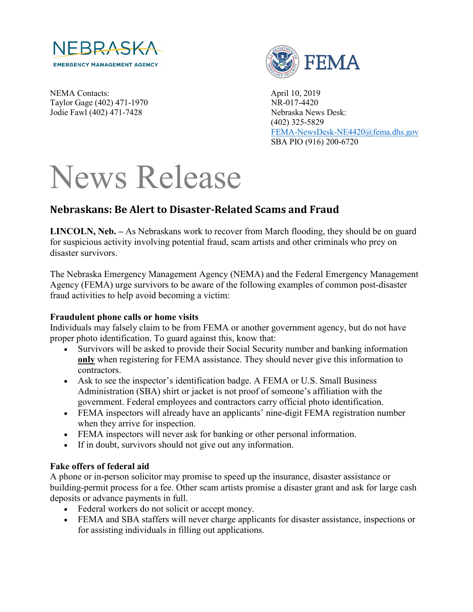

NEMA Contacts: April 10, 2019 Taylor Gage (402) 471-1970 NR-017-4420 Jodie Fawl (402) 471-7428 Nebraska News Desk:



 (402) 325-5829 [FEMA-NewsDesk-NE4420@fema.dhs.gov](mailto:FEMA-NewsDesk-NE4420@fema.dhs.gov) SBA PIO (916) 200-6720

# News Release

# **Nebraskans: Be Alert to Disaster-Related Scams and Fraud**

**LINCOLN, Neb. –** As Nebraskans work to recover from March flooding, they should be on guard for suspicious activity involving potential fraud, scam artists and other criminals who prey on disaster survivors.

The Nebraska Emergency Management Agency (NEMA) and the Federal Emergency Management Agency (FEMA) urge survivors to be aware of the following examples of common post-disaster fraud activities to help avoid becoming a victim:

## **Fraudulent phone calls or home visits**

Individuals may falsely claim to be from FEMA or another government agency, but do not have proper photo identification. To guard against this, know that:

- Survivors will be asked to provide their Social Security number and banking information **only** when registering for FEMA assistance. They should never give this information to contractors.
- Ask to see the inspector's identification badge. A FEMA or U.S. Small Business Administration (SBA) shirt or jacket is not proof of someone's affiliation with the government. Federal employees and contractors carry official photo identification.
- FEMA inspectors will already have an applicants' nine-digit FEMA registration number when they arrive for inspection.
- FEMA inspectors will never ask for banking or other personal information.
- If in doubt, survivors should not give out any information.

# **Fake offers of federal aid**

A phone or in-person solicitor may promise to speed up the insurance, disaster assistance or building-permit process for a fee. Other scam artists promise a disaster grant and ask for large cash deposits or advance payments in full.

- Federal workers do not solicit or accept money.
- FEMA and SBA staffers will never charge applicants for disaster assistance, inspections or for assisting individuals in filling out applications.